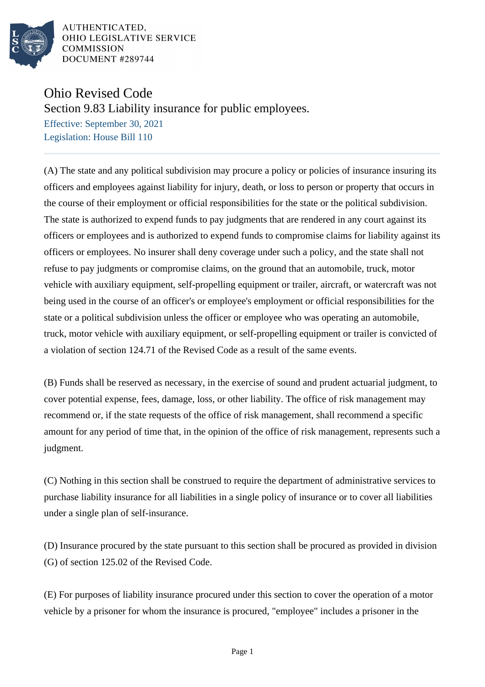

AUTHENTICATED, OHIO LEGISLATIVE SERVICE **COMMISSION** DOCUMENT #289744

## Ohio Revised Code

Section 9.83 Liability insurance for public employees.

Effective: September 30, 2021 Legislation: House Bill 110

(A) The state and any political subdivision may procure a policy or policies of insurance insuring its officers and employees against liability for injury, death, or loss to person or property that occurs in the course of their employment or official responsibilities for the state or the political subdivision. The state is authorized to expend funds to pay judgments that are rendered in any court against its officers or employees and is authorized to expend funds to compromise claims for liability against its officers or employees. No insurer shall deny coverage under such a policy, and the state shall not refuse to pay judgments or compromise claims, on the ground that an automobile, truck, motor vehicle with auxiliary equipment, self-propelling equipment or trailer, aircraft, or watercraft was not being used in the course of an officer's or employee's employment or official responsibilities for the state or a political subdivision unless the officer or employee who was operating an automobile, truck, motor vehicle with auxiliary equipment, or self-propelling equipment or trailer is convicted of a violation of section 124.71 of the Revised Code as a result of the same events.

(B) Funds shall be reserved as necessary, in the exercise of sound and prudent actuarial judgment, to cover potential expense, fees, damage, loss, or other liability. The office of risk management may recommend or, if the state requests of the office of risk management, shall recommend a specific amount for any period of time that, in the opinion of the office of risk management, represents such a judgment.

(C) Nothing in this section shall be construed to require the department of administrative services to purchase liability insurance for all liabilities in a single policy of insurance or to cover all liabilities under a single plan of self-insurance.

(D) Insurance procured by the state pursuant to this section shall be procured as provided in division (G) of section 125.02 of the Revised Code.

(E) For purposes of liability insurance procured under this section to cover the operation of a motor vehicle by a prisoner for whom the insurance is procured, "employee" includes a prisoner in the